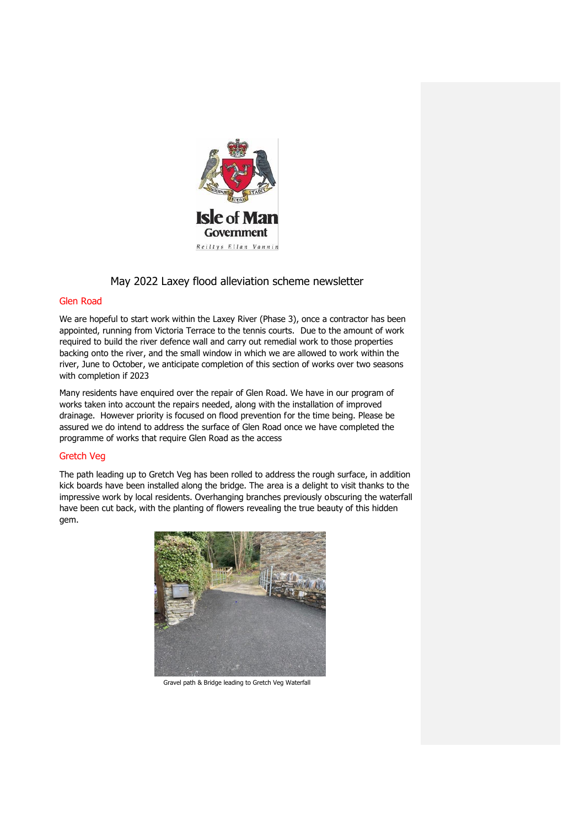

# May 2022 Laxey flood alleviation scheme newsletter

### Glen Road

We are hopeful to start work within the Laxey River (Phase 3), once a contractor has been appointed, running from Victoria Terrace to the tennis courts. Due to the amount of work required to build the river defence wall and carry out remedial work to those properties backing onto the river, and the small window in which we are allowed to work within the river, June to October, we anticipate completion of this section of works over two seasons with completion if 2023

Many residents have enquired over the repair of Glen Road. We have in our program of works taken into account the repairs needed, along with the installation of improved drainage. However priority is focused on flood prevention for the time being. Please be assured we do intend to address the surface of Glen Road once we have completed the programme of works that require Glen Road as the access

# Gretch Veg

The path leading up to Gretch Veg has been rolled to address the rough surface, in addition kick boards have been installed along the bridge. The area is a delight to visit thanks to the impressive work by local residents. Overhanging branches previously obscuring the waterfall have been cut back, with the planting of flowers revealing the true beauty of this hidden gem.



Gravel path & Bridge leading to Gretch Veg Waterfall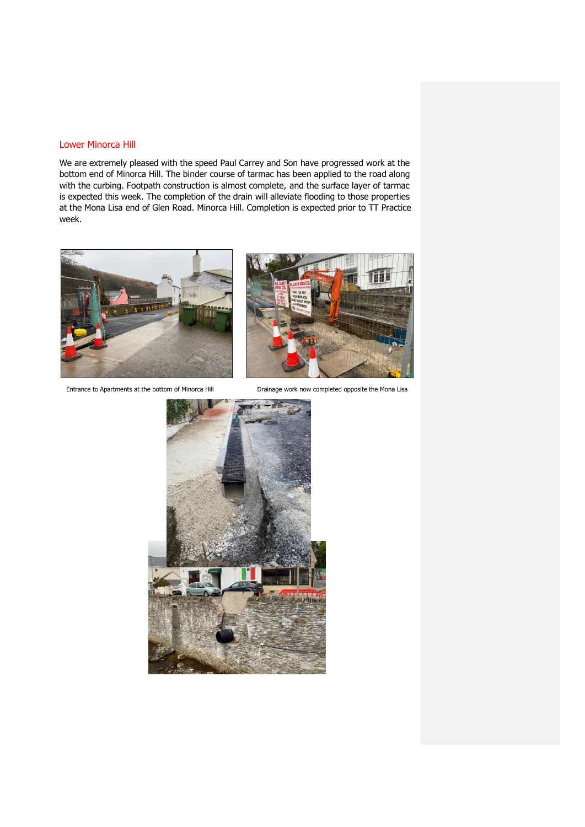#### Lower Minorca Hill

We are extremely pleased with the speed Paul Carrey and Son have progressed work at the bottom end of Minorca Hill. The binder course of tarmac has been applied to the road along with the curbing. Footpath construction is almost complete, and the surface layer of tarmac is expected this week. The completion of the drain will alleviate flooding to those properties at the Mona Lisa end of Glen Road. Minorca Hill. Completion is expected prior to TT Practice week.



Entrance to Apartments at the bottom of Minorca Hill Drainage work now completed opposite the Mona Lisa



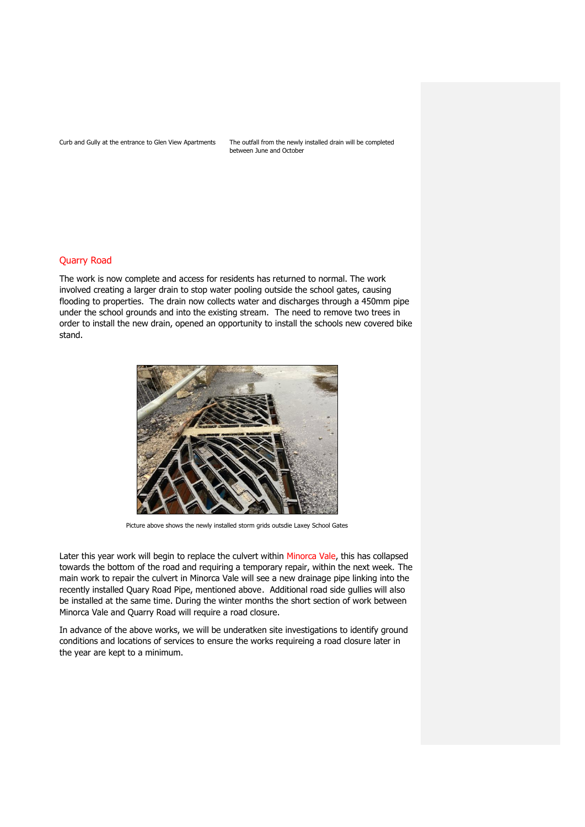Curb and Gully at the entrance to Glen View Apartments The outfall from the newly installed drain will be completed between June and October

#### Quarry Road

The work is now complete and access for residents has returned to normal. The work involved creating a larger drain to stop water pooling outside the school gates, causing flooding to properties. The drain now collects water and discharges through a 450mm pipe under the school grounds and into the existing stream. The need to remove two trees in order to install the new drain, opened an opportunity to install the schools new covered bike stand.



Picture above shows the newly installed storm grids outsdie Laxey School Gates

Later this year work will begin to replace the culvert within Minorca Vale, this has collapsed towards the bottom of the road and requiring a temporary repair, within the next week. The main work to repair the culvert in Minorca Vale will see a new drainage pipe linking into the recently installed Quary Road Pipe, mentioned above. Additional road side gullies will also be installed at the same time. During the winter months the short section of work between Minorca Vale and Quarry Road will require a road closure.

In advance of the above works, we will be underatken site investigations to identify ground conditions and locations of services to ensure the works requireing a road closure later in the year are kept to a minimum.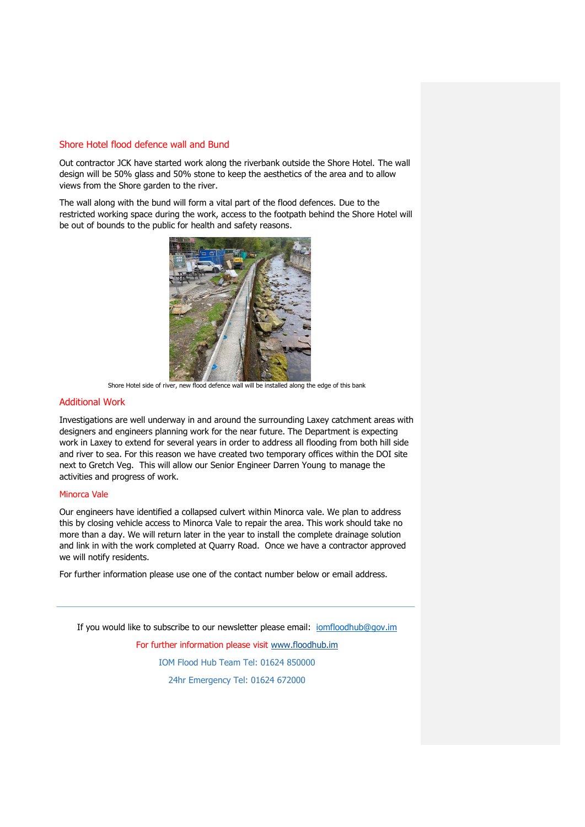#### Shore Hotel flood defence wall and Bund

Out contractor JCK have started work along the riverbank outside the Shore Hotel. The wall design will be 50% glass and 50% stone to keep the aesthetics of the area and to allow views from the Shore garden to the river.

The wall along with the bund will form a vital part of the flood defences. Due to the restricted working space during the work, access to the footpath behind the Shore Hotel will be out of bounds to the public for health and safety reasons.



Shore Hotel side of river, new flood defence wall will be installed along the edge of this bank

## Additional Work

Investigations are well underway in and around the surrounding Laxey catchment areas with designers and engineers planning work for the near future. The Department is expecting work in Laxey to extend for several years in order to address all flooding from both hill side and river to sea. For this reason we have created two temporary offices within the DOI site next to Gretch Veg. This will allow our Senior Engineer Darren Young to manage the activities and progress of work.

#### Minorca Vale

Our engineers have identified a collapsed culvert within Minorca vale. We plan to address this by closing vehicle access to Minorca Vale to repair the area. This work should take no more than a day. We will return later in the year to install the complete drainage solution and link in with the work completed at Quarry Road. Once we have a contractor approved we will notify residents.

For further information please use one of the contact number below or email address.

If you would like to subscribe to our newsletter please email: jomfloodhub@gov.im

For further information please visit [www.floodhub.im](http://www.floodhub.im/) IOM Flood Hub Team Tel: 01624 850000

24hr Emergency Tel: 01624 672000